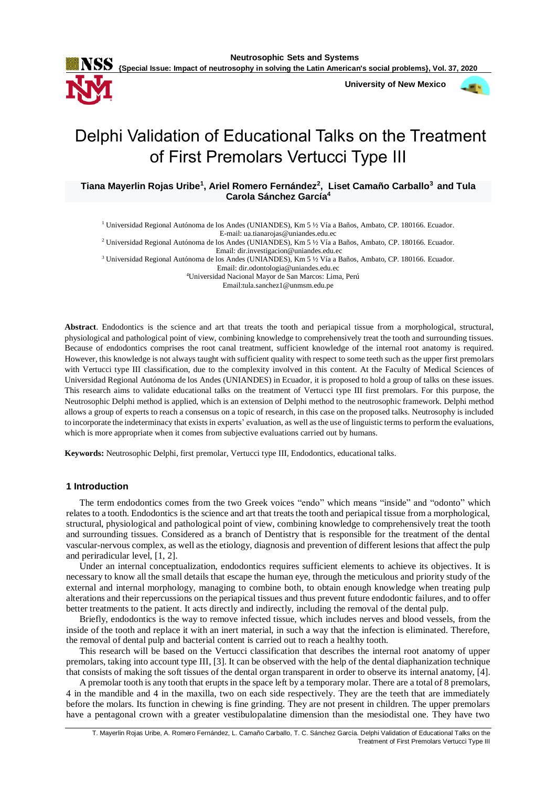**Neutrosophic Sets and Systems**

**{Special Issue: Impact of neutrosophy in solving the Latin American's social problems}, Vol. 37, 2020**

 **University of New Mexico**



# Delphi Validation of Educational Talks on the Treatment of First Premolars Vertucci Type III

**Tiana Mayerlin Rojas Uribe<sup>1</sup> , Ariel Romero Fernández<sup>2</sup> , Liset Camaño Carballo<sup>3</sup> and Tula Carola Sánchez García 4**

<sup>1</sup> Universidad Regional Autónoma de los Andes (UNIANDES), Km 5 ½ Vía a Baños, Ambato, CP. 180166. Ecuador. E-mail: ua.tianarojas@uniandes.edu.ec

<sup>2</sup> Universidad Regional Autónoma de los Andes (UNIANDES), Km 5 ½ Vía a Baños, Ambato, CP. 180166. Ecuador. Email: dir.investigacion@uniandes.edu.ec

<sup>3</sup> Universidad Regional Autónoma de los Andes (UNIANDES), Km 5 ½ Vía a Baños, Ambato, CP. 180166. Ecuador.

Email: dir.odontologia@uniandes.edu.ec

<sup>4</sup>Universidad Nacional Mayor de San Marcos: Lima, Perú

Email:tula.sanchez1@unmsm.edu.pe

**Abstract**. Endodontics is the science and art that treats the tooth and periapical tissue from a morphological, structural, physiological and pathological point of view, combining knowledge to comprehensively treat the tooth and surrounding tissues. Because of endodontics comprises the root canal treatment, sufficient knowledge of the internal root anatomy is required. However, this knowledge is not always taught with sufficient quality with respect to some teeth such as the upper first premolars with Vertucci type III classification, due to the complexity involved in this content. At the Faculty of Medical Sciences of Universidad Regional Autónoma de los Andes (UNIANDES) in Ecuador, it is proposed to hold a group of talks on these issues. This research aims to validate educational talks on the treatment of Vertucci type III first premolars. For this purpose, the Neutrosophic Delphi method is applied, which is an extension of Delphi method to the neutrosophic framework. Delphi method allows a group of experts to reach a consensus on a topic of research, in this case on the proposed talks. Neutrosophy is included to incorporate the indeterminacy that exists in experts' evaluation, as well as the use of linguistic terms to perform the evaluations, which is more appropriate when it comes from subjective evaluations carried out by humans.

**Keywords:** Neutrosophic Delphi, first premolar, Vertucci type III, Endodontics, educational talks.

# **1 Introduction**

The term endodontics comes from the two Greek voices "endo" which means "inside" and "odonto" which relates to a tooth. Endodontics is the science and art that treats the tooth and periapical tissue from a morphological, structural, physiological and pathological point of view, combining knowledge to comprehensively treat the tooth and surrounding tissues. Considered as a branch of Dentistry that is responsible for the treatment of the dental vascular-nervous complex, as well as the etiology, diagnosis and prevention of different lesions that affect the pulp and periradicular level, [1, 2].

Under an internal conceptualization, endodontics requires sufficient elements to achieve its objectives. It is necessary to know all the small details that escape the human eye, through the meticulous and priority study of the external and internal morphology, managing to combine both, to obtain enough knowledge when treating pulp alterations and their repercussions on the periapical tissues and thus prevent future endodontic failures, and to offer better treatments to the patient. It acts directly and indirectly, including the removal of the dental pulp.

Briefly, endodontics is the way to remove infected tissue, which includes nerves and blood vessels, from the inside of the tooth and replace it with an inert material, in such a way that the infection is eliminated. Therefore, the removal of dental pulp and bacterial content is carried out to reach a healthy tooth.

This research will be based on the Vertucci classification that describes the internal root anatomy of upper premolars, taking into account type III, [3]. It can be observed with the help of the dental diaphanization technique that consists of making the soft tissues of the dental organ transparent in order to observe its internal anatomy, [4].

A premolar tooth is any tooth that erupts in the space left by a temporary molar. There are a total of 8 premolars, 4 in the mandible and 4 in the maxilla, two on each side respectively. They are the teeth that are immediately before the molars. Its function in chewing is fine grinding. They are not present in children. The upper premolars have a pentagonal crown with a greater vestibulopalatine dimension than the mesiodistal one. They have two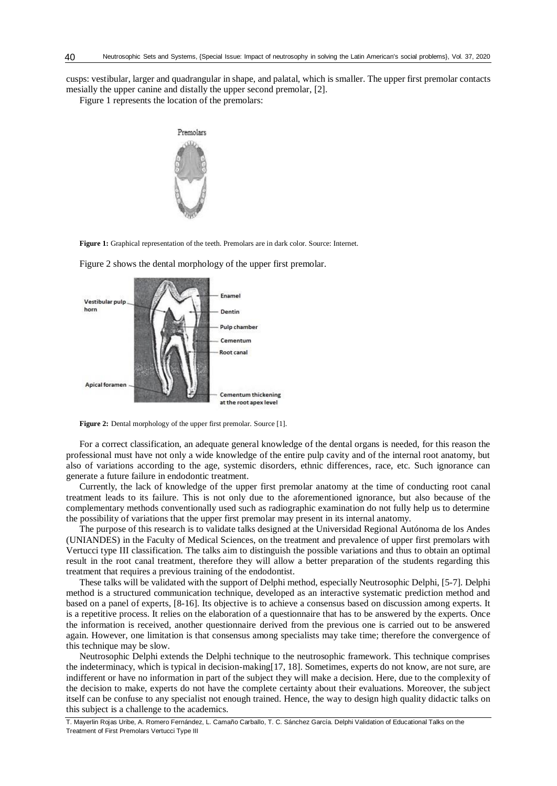cusps: vestibular, larger and quadrangular in shape, and palatal, which is smaller. The upper first premolar contacts mesially the upper canine and distally the upper second premolar, [2].

Figure 1 represents the location of the premolars:



**Figure 1:** Graphical representation of the teeth. Premolars are in dark color. Source: Internet.



Figure 2 shows the dental morphology of the upper first premolar.

**Figure 2:** Dental morphology of the upper first premolar. Source [1].

For a correct classification, an adequate general knowledge of the dental organs is needed, for this reason the professional must have not only a wide knowledge of the entire pulp cavity and of the internal root anatomy, but also of variations according to the age, systemic disorders, ethnic differences, race, etc. Such ignorance can generate a future failure in endodontic treatment.

Currently, the lack of knowledge of the upper first premolar anatomy at the time of conducting root canal treatment leads to its failure. This is not only due to the aforementioned ignorance, but also because of the complementary methods conventionally used such as radiographic examination do not fully help us to determine the possibility of variations that the upper first premolar may present in its internal anatomy.

The purpose of this research is to validate talks designed at the Universidad Regional Autónoma de los Andes (UNIANDES) in the Faculty of Medical Sciences, on the treatment and prevalence of upper first premolars with Vertucci type III classification. The talks aim to distinguish the possible variations and thus to obtain an optimal result in the root canal treatment, therefore they will allow a better preparation of the students regarding this treatment that requires a previous training of the endodontist.

These talks will be validated with the support of Delphi method, especially Neutrosophic Delphi, [5-7]. Delphi method is a structured communication technique, developed as an interactive systematic prediction method and based on a panel of experts, [8-16]. Its objective is to achieve a consensus based on discussion among experts. It is a repetitive process. It relies on the elaboration of a questionnaire that has to be answered by the experts. Once the information is received, another questionnaire derived from the previous one is carried out to be answered again. However, one limitation is that consensus among specialists may take time; therefore the convergence of this technique may be slow.

Neutrosophic Delphi extends the Delphi technique to the neutrosophic framework. This technique comprises the indeterminacy, which is typical in decision-making[17, 18]. Sometimes, experts do not know, are not sure, are indifferent or have no information in part of the subject they will make a decision. Here, due to the complexity of the decision to make, experts do not have the complete certainty about their evaluations. Moreover, the subject itself can be confuse to any specialist not enough trained. Hence, the way to design high quality didactic talks on this subject is a challenge to the academics.

T. Mayerlin Rojas Uribe, A. Romero Fernández, L. Camaño Carballo, T. C. Sánchez García. Delphi Validation of Educational Talks on the Treatment of First Premolars Vertucci Type III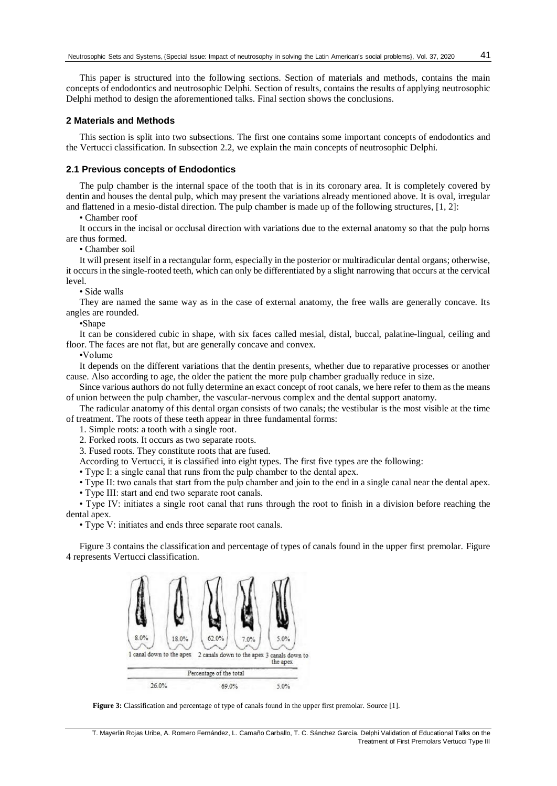This paper is structured into the following sections. Section of materials and methods, contains the main concepts of endodontics and neutrosophic Delphi. Section of results, contains the results of applying neutrosophic Delphi method to design the aforementioned talks. Final section shows the conclusions.

# **2 Materials and Methods**

This section is split into two subsections. The first one contains some important concepts of endodontics and the Vertucci classification. In subsection 2.2, we explain the main concepts of neutrosophic Delphi.

## **2.1 Previous concepts of Endodontics**

The pulp chamber is the internal space of the tooth that is in its coronary area. It is completely covered by dentin and houses the dental pulp, which may present the variations already mentioned above. It is oval, irregular and flattened in a mesio-distal direction. The pulp chamber is made up of the following structures, [1, 2]:

• Chamber roof

It occurs in the incisal or occlusal direction with variations due to the external anatomy so that the pulp horns are thus formed.

• Chamber soil

It will present itself in a rectangular form, especially in the posterior or multiradicular dental organs; otherwise, it occurs in the single-rooted teeth, which can only be differentiated by a slight narrowing that occurs at the cervical level.

• Side walls

They are named the same way as in the case of external anatomy, the free walls are generally concave. Its angles are rounded.

•Shape

It can be considered cubic in shape, with six faces called mesial, distal, buccal, palatine-lingual, ceiling and floor. The faces are not flat, but are generally concave and convex.

•Volume

It depends on the different variations that the dentin presents, whether due to reparative processes or another cause. Also according to age, the older the patient the more pulp chamber gradually reduce in size.

Since various authors do not fully determine an exact concept of root canals, we here refer to them as the means of union between the pulp chamber, the vascular-nervous complex and the dental support anatomy.

The radicular anatomy of this dental organ consists of two canals; the vestibular is the most visible at the time of treatment. The roots of these teeth appear in three fundamental forms:

1. Simple roots: a tooth with a single root.

2. Forked roots. It occurs as two separate roots.

3. Fused roots. They constitute roots that are fused.

According to Vertucci, it is classified into eight types. The first five types are the following:

• Type I: a single canal that runs from the pulp chamber to the dental apex.

• Type II: two canals that start from the pulp chamber and join to the end in a single canal near the dental apex.

• Type III: start and end two separate root canals.

• Type IV: initiates a single root canal that runs through the root to finish in a division before reaching the dental apex.

• Type V: initiates and ends three separate root canals.

Figure 3 contains the classification and percentage of types of canals found in the upper first premolar. Figure 4 represents Vertucci classification.



**Figure 3:** Classification and percentage of type of canals found in the upper first premolar. Source [1].

T. Mayerlin Rojas Uribe, A. Romero Fernández, L. Camaño Carballo, T. C. Sánchez García. Delphi Validation of Educational Talks on the Treatment of First Premolars Vertucci Type III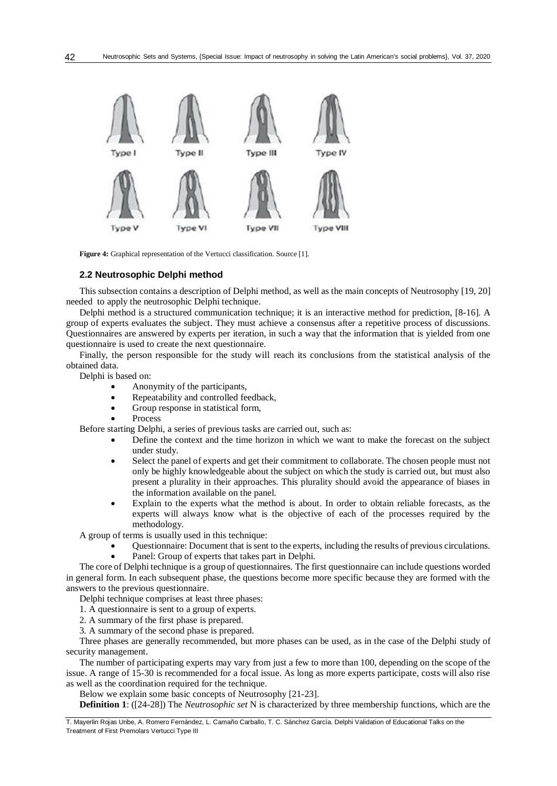

**Figure 4:** Graphical representation of the Vertucci classification. Source [1].

### **2.2 Neutrosophic Delphi method**

This subsection contains a description of Delphi method, as well as the main concepts of Neutrosophy [19, 20] needed to apply the neutrosophic Delphi technique.

Delphi method is a structured communication technique; it is an interactive method for prediction, [8-16]. A group of experts evaluates the subject. They must achieve a consensus after a repetitive process of discussions. Questionnaires are answered by experts per iteration, in such a way that the information that is yielded from one questionnaire is used to create the next questionnaire.

Finally, the person responsible for the study will reach its conclusions from the statistical analysis of the obtained data.

Delphi is based on:

- Anonymity of the participants,
- Repeatability and controlled feedback,
- Group response in statistical form,
- Process

Before starting Delphi, a series of previous tasks are carried out, such as:

- Define the context and the time horizon in which we want to make the forecast on the subject under study.
- Select the panel of experts and get their commitment to collaborate. The chosen people must not only be highly knowledgeable about the subject on which the study is carried out, but must also present a plurality in their approaches. This plurality should avoid the appearance of biases in the information available on the panel.
- Explain to the experts what the method is about. In order to obtain reliable forecasts, as the experts will always know what is the objective of each of the processes required by the methodology.

A group of terms is usually used in this technique:

 Questionnaire: Document that is sent to the experts, including the results of previous circulations. Panel: Group of experts that takes part in Delphi.

The core of Delphi technique is a group of questionnaires. The first questionnaire can include questions worded in general form. In each subsequent phase, the questions become more specific because they are formed with the answers to the previous questionnaire.

Delphi technique comprises at least three phases:

1. A questionnaire is sent to a group of experts.

- 2. A summary of the first phase is prepared.
- 3. A summary of the second phase is prepared.

Three phases are generally recommended, but more phases can be used, as in the case of the Delphi study of security management.

The number of participating experts may vary from just a few to more than 100, depending on the scope of the issue. A range of 15-30 is recommended for a focal issue. As long as more experts participate, costs will also rise as well as the coordination required for the technique.

Below we explain some basic concepts of Neutrosophy [21-23].

**Definition 1**: ([24-28]) The *Neutrosophic set* N is characterized by three membership functions, which are the

T. Mayerlin Rojas Uribe, A. Romero Fernández, L. Camaño Carballo, T. C. Sánchez García. Delphi Validation of Educational Talks on the Treatment of First Premolars Vertucci Type III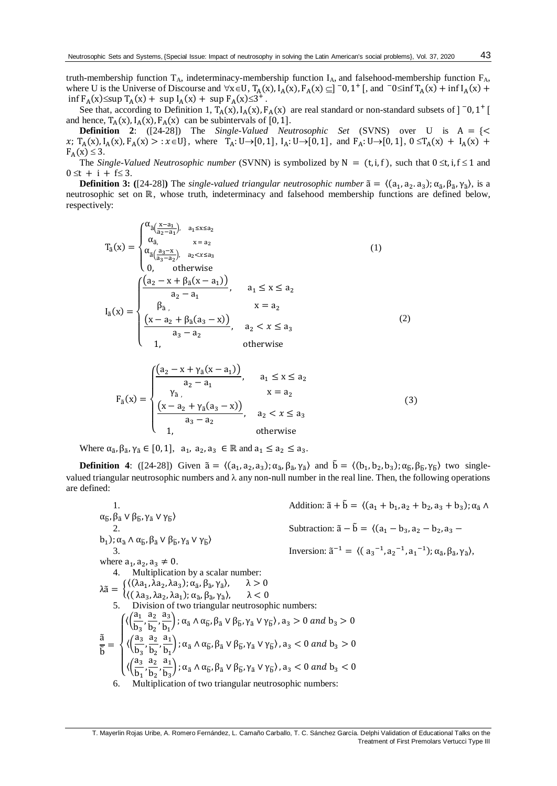truth-membership function  $T_A$ , indeterminacy-membership function  $I_A$ , and falsehood-membership function  $F_A$ , where U is the Universe of Discourse and  $\forall x \in U$ ,  $T_A(x)$ ,  $I_A(x)$ ,  $F_A(x) \subseteq ]\n= 0$ ,  $1^+$  [, and  $\exists 0 \leq \inf T_A(x) + \inf I_A(x) +$  $\inf F_A(x) \leq \sup T_A(x) + \sup I_A(x) + \sup F_A(x) \leq 3^+$ .

See that, according to Definition 1,  $T_A(x)$ ,  $I_A(x)$ ,  $F_A(x)$  are real standard or non-standard subsets of ]  $\bar{0}$ ,  $1^+$  [ and hence,  $T_A(x)$ ,  $I_A(x)$ ,  $F_A(x)$  can be subintervals of [0, 1].

**Definition 2**:  $([24-28])$  The *Single-Valued Neutrosophic Set* (SVNS) over U is  $A = \{ \leq$  $x$ ; T<sub>A</sub>(x), I<sub>A</sub>(x), F<sub>A</sub>(x) > :  $x \in U$ , where  $T_A: U \to [0, 1]$ , I<sub>A</sub>:  $U \to [0, 1]$ , and  $F_A: U \to [0, 1]$ ,  $0 \le T_A(x) + I_A(x) +$  $F_A(x) \leq 3$ .

The *Single-Valued Neutrosophic number* (SVNN) is symbolized by N =  $(t, i, f)$ , such that  $0 \le t, i, f \le 1$  and  $0 \le t + i + f \le 3$ .

**Definition 3:** ([24-28]) The *single-valued triangular neutrosophic number*  $\tilde{a} = \langle (a_1, a_2, a_3); \alpha_{\tilde{a}}, \beta_{\tilde{a}}, \gamma_{\tilde{a}} \rangle$ , is a neutrosophic set on ℝ, whose truth, indeterminacy and falsehood membership functions are defined below, respectively:

$$
T_{\tilde{a}}(x) = \begin{cases} \alpha_{\tilde{a}}\frac{x-a_1}{a_2-a_1}, & a_1 \le x \le a_2\\ \alpha_{\tilde{a}}, & x = a_2\\ \alpha_{\tilde{a}}\frac{a_3-x}{a_3-a_2}, & a_2 < x \le a_3\\ 0, & \text{otherwise} \end{cases} \tag{1}
$$
\n
$$
I_{\tilde{a}}(x) = \begin{cases} \frac{(a_2 - x + \beta_{\tilde{a}}(x-a_1))}{a_2-a_1}, & a_1 \le x \le a_2\\ \beta_{\tilde{a}}, & x = a_2\\ \frac{(x-a_2 + \beta_{\tilde{a}}(a_3-x))}{a_3-a_2}, & a_2 < x \le a_3\\ 1, & \text{otherwise} \end{cases} \tag{2}
$$

$$
F_{\tilde{a}}(x) = \begin{cases} \frac{(a_2 - x + \gamma_{\tilde{a}}(x - a_1))}{a_2 - a_1}, & a_1 \le x \le a_2\\ \frac{\gamma_{\tilde{a}}}{\gamma_{\tilde{a}}}, & x = a_2\\ \frac{(x - a_2 + \gamma_{\tilde{a}}(a_3 - x))}{a_3 - a_2}, & a_2 < x \le a_3\\ 1, & \text{otherwise} \end{cases} \tag{3}
$$

Where  $\alpha_{\tilde{a}}, \beta_{\tilde{a}}, \gamma_{\tilde{a}} \in [0, 1], \ a_1, a_2, a_3 \in \mathbb{R}$  and  $a_1 \le a_2 \le a_3$ .

**Definition 4**: ([24-28]) Given  $\tilde{a} = \langle (a_1, a_2, a_3); \alpha_{\tilde{a}}, \beta_{\tilde{a}}, \gamma_{\tilde{a}} \rangle$  and  $\tilde{b} = \langle (b_1, b_2, b_3); \alpha_{\tilde{b}}, \beta_{\tilde{b}}, \gamma_{\tilde{b}} \rangle$  two singlevalued triangular neutrosophic numbers and  $\lambda$  any non-null number in the real line. Then, the following operations are defined:

1. Addition: 
$$
\tilde{a} + \tilde{b} = \langle (a_1 + b_1, a_2 + b_2, a_3 + b_3); \alpha_{\tilde{a}} \wedge \alpha_{\tilde{b}}, \beta_{\tilde{a}} \vee \beta_{\tilde{b}}, \gamma_{\tilde{a}} \vee \gamma_{\tilde{b}} \rangle
$$
\n2. Subtraction:  $\tilde{a} - \tilde{b} = \langle (a_1 - b_3, a_2 - b_2, a_3 - b_1); \alpha_{\tilde{a}} \wedge \alpha_{\tilde{b}}, \beta_{\tilde{a}} \vee \beta_{\tilde{b}}, \gamma_{\tilde{a}} \vee \gamma_{\tilde{b}} \rangle$ \n3. Inversion:  $\tilde{a}^{-1} = \langle (a_3^{-1}, a_2^{-1}, a_1^{-1}); \alpha_{\tilde{a}}, \beta_{\tilde{a}}, \gamma_{\tilde{a}} \rangle$ , where  $a_1, a_2, a_3 \neq 0$ .  
\n4. Multiplication by a scalar number:  
\n
$$
\lambda \tilde{a} = \begin{cases}\n\langle (\lambda a_1, \lambda a_2, \lambda a_3); \alpha_{\tilde{a}}, \beta_{\tilde{a}}, \gamma_{\tilde{a}} \rangle, & \lambda > 0 \\
\langle (\lambda a_3, \lambda a_2, \lambda a_1); \alpha_{\tilde{a}}, \beta_{\tilde{a}}, \gamma_{\tilde{a}} \rangle, & \lambda < 0 \\
5. \text{ Division of two triangular neutrosophic numbers:} \\
\frac{\partial}{\partial b} = \begin{cases}\n\langle \left(\frac{\partial a_1}{\partial s}, \frac{\partial a_2}{\partial s}, \frac{\partial a_3}{\partial s}\right); \alpha_{\tilde{a}} \wedge \alpha_{\tilde{b}}, \beta_{\tilde{a}} \vee \beta_{\tilde{b}}, \gamma_{\tilde{a}} \vee \gamma_{\tilde{b}} \rangle, a_3 > 0 \text{ and } b_3 > 0 \\
\langle \left(\frac{\partial a_3}{\partial s}, \frac{a_2}{\partial s}, \frac{a_1}{\partial s}\right); \alpha_{\tilde{a}} \wedge \alpha_{\tilde{b}}, \beta_{\tilde{a}} \vee \beta_{\tilde{b}}, \gamma_{\tilde{a}} \vee \gamma_{\tilde{b}} \
$$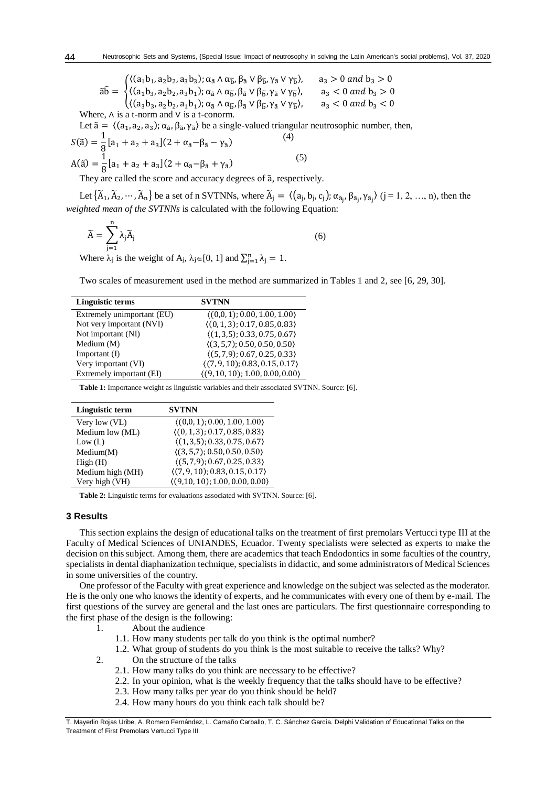$$
\tilde{a}\tilde{b} = \begin{cases} ((a_1b_1, a_2b_2, a_3b_3); \alpha_{\tilde{a}} \wedge \alpha_{\tilde{b}}, \beta_{\tilde{a}} \vee \beta_{\tilde{b}}, \gamma_{\tilde{a}} \vee \gamma_{\tilde{b}}), & a_3 > 0 \text{ and } b_3 > 0 \\ ((a_1b_3, a_2b_2, a_3b_1); \alpha_{\tilde{a}} \wedge \alpha_{\tilde{b}}, \beta_{\tilde{a}} \vee \beta_{\tilde{b}}, \gamma_{\tilde{a}} \vee \gamma_{\tilde{b}}), & a_3 < 0 \text{ and } b_3 > 0 \\ ((a_3b_3, a_2b_2, a_1b_1); \alpha_{\tilde{a}} \wedge \alpha_{\tilde{b}}, \beta_{\tilde{a}} \vee \beta_{\tilde{b}}, \gamma_{\tilde{a}} \vee \gamma_{\tilde{b}}), & a_3 < 0 \text{ and } b_3 < 0 \end{cases}
$$

Where,  $\wedge$  is a t-norm and  $\vee$  is a t-conorm.

44

Let  $\tilde{a} = \langle (a_1, a_2, a_3); \alpha_{\tilde{a}}, \beta_{\tilde{a}}, \gamma_{\tilde{a}} \rangle$  be a single-valued triangular neutrosophic number, then,

$$
S(\tilde{a}) = \frac{1}{8} [a_1 + a_2 + a_3](2 + \alpha_{\tilde{a}} - \gamma_{\tilde{a}})
$$
  
\n
$$
A(\tilde{a}) = \frac{1}{8} [a_1 + a_2 + a_3](2 + \alpha_{\tilde{a}} - \beta_{\tilde{a}} + \gamma_{\tilde{a}})
$$
\n(5)

They are called the score and accuracy degrees of ã, respectively.

Let  $\{\widetilde{A}_1, \widetilde{A}_2, \cdots, \widetilde{A}_n\}$  be a set of n SVTNNs, where  $\widetilde{A}_j = \langle (a_j, b_j, c_j); \alpha_{\widetilde{a}_j}, \beta_{\widetilde{a}_j}, \gamma_{\widetilde{a}_j} \rangle$   $(j = 1, 2, ..., n)$ , then the *weighted mean of the SVTNNs* is calculated with the following Equation:

$$
\widetilde{A} = \sum_{j=1}^{n} \lambda_j \widetilde{A}_j \tag{6}
$$

Where  $\lambda_j$  is the weight of A<sub>j</sub>,  $\lambda_j \in [0, 1]$  and  $\sum_{j=1}^n \lambda_j = 1$ .

Two scales of measurement used in the method are summarized in Tables 1 and 2, see [6, 29, 30].

| Linguistic terms           | <b>SVTNN</b>                                    |
|----------------------------|-------------------------------------------------|
| Extremely unimportant (EU) | (0,0,1); 0.00, 1.00, 1.00)                      |
| Not very important (NVI)   | $(0, 1, 3)$ ; 0.17, 0.85, 0.83)                 |
| Not important (NI)         | $\langle (1,3,5); 0.33, 0.75, 0.67 \rangle$     |
| Medium (M)                 | $(3, 5, 7)$ ; 0.50, 0.50, 0.50)                 |
| Important $(I)$            | $(5, 7, 9)$ ; 0.67, 0.25, 0.33)                 |
| Very important (VI)        | $\langle (7, 9, 10); 0.83, 0.15, 0.17 \rangle$  |
| Extremely important (EI)   | $\langle (9, 10, 10); 1.00, 0.00, 0.00 \rangle$ |
|                            |                                                 |

**Table 1:** Importance weight as linguistic variables and their associated SVTNN. Source: [6].

| Linguistic term  | <b>SVTNN</b>                                |
|------------------|---------------------------------------------|
| Very low (VL)    | $(0,0,1)$ ; 0.00, 1.00, 1.00)               |
| Medium low (ML)  | $(0, 1, 3)$ ; 0.17, 0.85, 0.83)             |
| Low (L)          | $\langle (1,3,5); 0.33, 0.75, 0.67 \rangle$ |
| Median(M)        | $(3, 5, 7)$ ; 0.50, 0.50, 0.50)             |
| High(H)          | $(5, 7, 9)$ ; 0.67, 0.25, 0.33)             |
| Medium high (MH) | $(7, 9, 10)$ ; 0.83, 0.15, 0.17)            |
| Very high (VH)   | $(9,10,10)$ ; 1.00, 0.00, 0.00)             |

**Table 2:** Linguistic terms for evaluations associated with SVTNN. Source: [6].

### **3 Results**

This section explains the design of educational talks on the treatment of first premolars Vertucci type III at the Faculty of Medical Sciences of UNIANDES, Ecuador. Twenty specialists were selected as experts to make the decision on this subject. Among them, there are academics that teach Endodontics in some faculties of the country, specialists in dental diaphanization technique, specialists in didactic, and some administrators of Medical Sciences in some universities of the country.

One professor of the Faculty with great experience and knowledge on the subject was selected as the moderator. He is the only one who knows the identity of experts, and he communicates with every one of them by e-mail. The first questions of the survey are general and the last ones are particulars. The first questionnaire corresponding to the first phase of the design is the following:

- 1. About the audience
	- 1.1. How many students per talk do you think is the optimal number?
	- 1.2. What group of students do you think is the most suitable to receive the talks? Why?
- 2. On the structure of the talks
	- 2.1. How many talks do you think are necessary to be effective?
	- 2.2. In your opinion, what is the weekly frequency that the talks should have to be effective?
	- 2.3. How many talks per year do you think should be held?
	- 2.4. How many hours do you think each talk should be?

T. Mayerlin Rojas Uribe, A. Romero Fernández, L. Camaño Carballo, T. C. Sánchez García. Delphi Validation of Educational Talks on the Treatment of First Premolars Vertucci Type III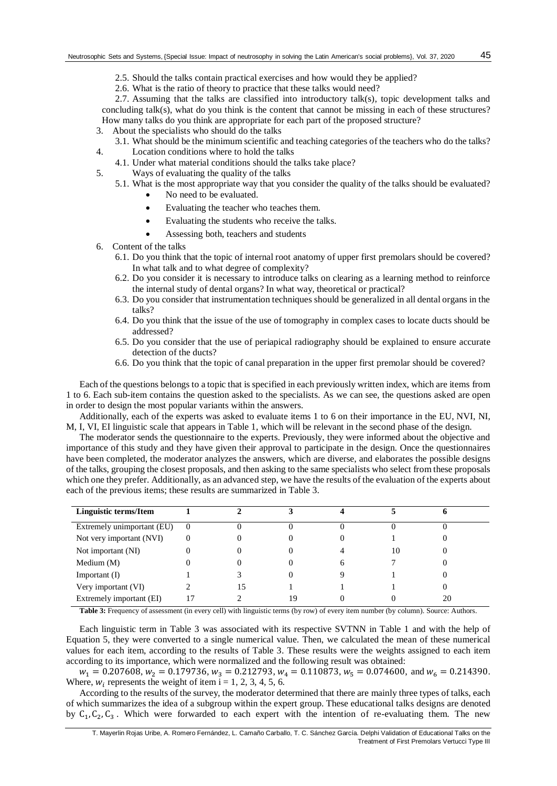- 2.5. Should the talks contain practical exercises and how would they be applied?
- 2.6. What is the ratio of theory to practice that these talks would need?

2.7. Assuming that the talks are classified into introductory talk(s), topic development talks and concluding talk(s), what do you think is the content that cannot be missing in each of these structures? How many talks do you think are appropriate for each part of the proposed structure?

- 3. About the specialists who should do the talks
- 3.1. What should be the minimum scientific and teaching categories of the teachers who do the talks? 4. Location conditions where to hold the talks
- 4.1. Under what material conditions should the talks take place?
- 5. Ways of evaluating the quality of the talks
	- 5.1. What is the most appropriate way that you consider the quality of the talks should be evaluated?
		- No need to be evaluated.
		- Evaluating the teacher who teaches them.
		- Evaluating the students who receive the talks.
		- Assessing both, teachers and students
- 6. Content of the talks
	- 6.1. Do you think that the topic of internal root anatomy of upper first premolars should be covered? In what talk and to what degree of complexity?
	- 6.2. Do you consider it is necessary to introduce talks on clearing as a learning method to reinforce the internal study of dental organs? In what way, theoretical or practical?
	- 6.3. Do you consider that instrumentation techniques should be generalized in all dental organs in the talks?
	- 6.4. Do you think that the issue of the use of tomography in complex cases to locate ducts should be addressed?
	- 6.5. Do you consider that the use of periapical radiography should be explained to ensure accurate detection of the ducts?
	- 6.6. Do you think that the topic of canal preparation in the upper first premolar should be covered?

Each of the questions belongs to a topic that is specified in each previously written index, which are items from 1 to 6. Each sub-item contains the question asked to the specialists. As we can see, the questions asked are open in order to design the most popular variants within the answers.

Additionally, each of the experts was asked to evaluate items 1 to 6 on their importance in the EU, NVI, NI, M, I, VI, EI linguistic scale that appears in Table 1, which will be relevant in the second phase of the design.

The moderator sends the questionnaire to the experts. Previously, they were informed about the objective and importance of this study and they have given their approval to participate in the design. Once the questionnaires have been completed, the moderator analyzes the answers, which are diverse, and elaborates the possible designs of the talks, grouping the closest proposals, and then asking to the same specialists who select from these proposals which one they prefer. Additionally, as an advanced step, we have the results of the evaluation of the experts about each of the previous items; these results are summarized in Table 3.

| Linguistic terms/Item      |          |    |   |    |    |  |
|----------------------------|----------|----|---|----|----|--|
| Extremely unimportant (EU) | $\theta$ |    |   |    |    |  |
| Not very important (NVI)   | $\Omega$ |    |   |    |    |  |
| Not important (NI)         | $\Omega$ |    |   | 10 |    |  |
| Medium $(M)$               |          |    | h |    |    |  |
| Important $(I)$            |          |    |   |    |    |  |
| Very important (VI)        |          | 15 |   |    |    |  |
| Extremely important (EI)   |          |    |   |    | 20 |  |

**Table 3:** Frequency of assessment (in every cell) with linguistic terms (by row) of every item number (by column). Source: Authors.

Each linguistic term in Table 3 was associated with its respective SVTNN in Table 1 and with the help of Equation 5, they were converted to a single numerical value. Then, we calculated the mean of these numerical values for each item, according to the results of Table 3. These results were the weights assigned to each item according to its importance, which were normalized and the following result was obtained:

 $w_1 = 0.207608$ ,  $w_2 = 0.179736$ ,  $w_3 = 0.212793$ ,  $w_4 = 0.110873$ ,  $w_5 = 0.074600$ , and  $w_6 = 0.214390$ . Where,  $w_i$  represents the weight of item i = 1, 2, 3, 4, 5, 6.

According to the results of the survey, the moderator determined that there are mainly three types of talks, each of which summarizes the idea of a subgroup within the expert group. These educational talks designs are denoted by  $C_1, C_2, C_3$ . Which were forwarded to each expert with the intention of re-evaluating them. The new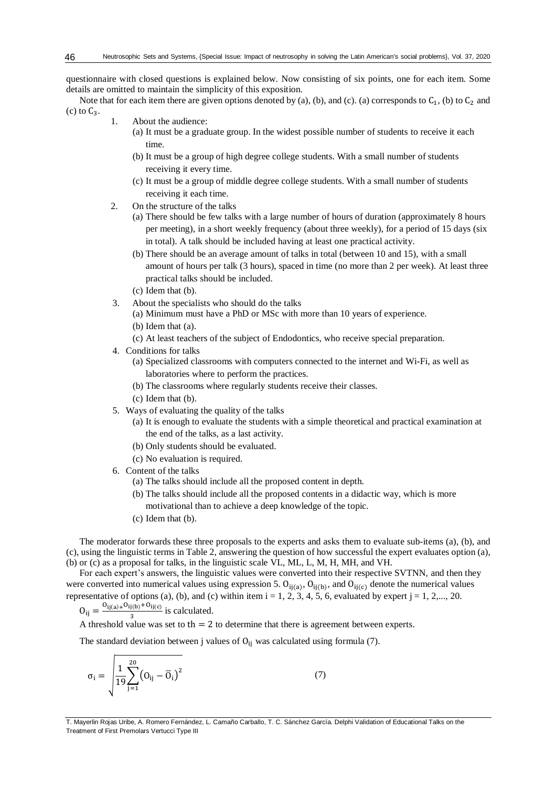questionnaire with closed questions is explained below. Now consisting of six points, one for each item. Some details are omitted to maintain the simplicity of this exposition.

Note that for each item there are given options denoted by (a), (b), and (c). (a) corresponds to  $C_1$ , (b) to  $C_2$  and (c) to  $C_3$ .

- 1. About the audience:
	- (a) It must be a graduate group. In the widest possible number of students to receive it each time.
	- (b) It must be a group of high degree college students. With a small number of students receiving it every time.
	- (c) It must be a group of middle degree college students. With a small number of students receiving it each time.
- 2. On the structure of the talks
	- (a) There should be few talks with a large number of hours of duration (approximately 8 hours per meeting), in a short weekly frequency (about three weekly), for a period of 15 days (six in total). A talk should be included having at least one practical activity.
	- (b) There should be an average amount of talks in total (between 10 and 15), with a small amount of hours per talk (3 hours), spaced in time (no more than 2 per week). At least three practical talks should be included.
	- (c) Idem that (b).
- 3. About the specialists who should do the talks
	- (a) Minimum must have a PhD or MSc with more than 10 years of experience. (b) Idem that (a).
	- (c) At least teachers of the subject of Endodontics, who receive special preparation.
- 4. Conditions for talks
	- (a) Specialized classrooms with computers connected to the internet and Wi-Fi, as well as laboratories where to perform the practices.
	- (b) The classrooms where regularly students receive their classes.
	- (c) Idem that (b).
- 5. Ways of evaluating the quality of the talks
	- (a) It is enough to evaluate the students with a simple theoretical and practical examination at the end of the talks, as a last activity.
	- (b) Only students should be evaluated.
	- (c) No evaluation is required.
- 6. Content of the talks
	- (a) The talks should include all the proposed content in depth.
	- (b) The talks should include all the proposed contents in a didactic way, which is more motivational than to achieve a deep knowledge of the topic.
	- (c) Idem that (b).

The moderator forwards these three proposals to the experts and asks them to evaluate sub-items (a), (b), and (c), using the linguistic terms in Table 2, answering the question of how successful the expert evaluates option (a), (b) or (c) as a proposal for talks, in the linguistic scale VL, ML, L, M, H, MH, and VH.

For each expert's answers, the linguistic values were converted into their respective SVTNN, and then they were converted into numerical values using expression 5.  $O_{ij(a)}$ ,  $O_{ij(b)}$ , and  $O_{ij(c)}$  denote the numerical values representative of options (a), (b), and (c) within item  $i = 1, 2, 3, 4, 5, 6$ , evaluated by expert  $j = 1, 2,..., 20$ .

 $O_{ij} = \frac{O_{ij(a)+}O_{ij(b)}+O_{ij(c)}}{3}$  $rac{J(b) + O_{1J}(c)}{3}$  is calculated.

A threshold value was set to th  $= 2$  to determine that there is agreement between experts.

The standard deviation between j values of  $O_{ii}$  was calculated using formula (7).

$$
\sigma_{i} = \sqrt{\frac{1}{19} \sum_{j=1}^{20} (0_{ij} - \overline{0}_{i})^{2}}
$$
 (7)

T. Mayerlin Rojas Uribe, A. Romero Fernández, L. Camaño Carballo, T. C. Sánchez García. Delphi Validation of Educational Talks on the Treatment of First Premolars Vertucci Type III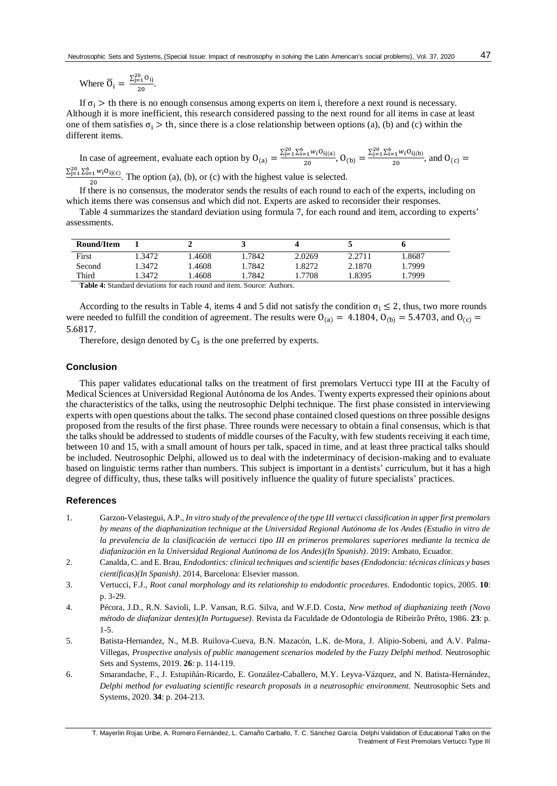If  $\sigma_i >$  th there is no enough consensus among experts on item i, therefore a next round is necessary. Although it is more inefficient, this research considered passing to the next round for all items in case at least one of them satisfies  $\sigma_i >$  th, since there is a close relationship between options (a), (b) and (c) within the different items.

In case of agreement, evaluate each option by  $O_{(a)} = \frac{\sum_{j=1}^{20} \sum_{i=1}^{6} w_i O_{ij(a)}}{20}$  $rac{1}{20} \frac{w_i O_{ij(a)}}{a_i}$ ,  $O_{(b)} = \frac{\sum_{j=1}^{20} \sum_{i=1}^{6} w_i O_{ij(b)}}{20}$  $rac{1}{20}$   $\frac{1}{20}$  and  $0$ <sub>(c)</sub> =  $\Sigma_{j=1}^{20} \Sigma_{i=1}^{6} w_i O_{ij(c)}$ 

 $\frac{20}{20}$ . The option (a), (b), or (c) with the highest value is selected.

If there is no consensus, the moderator sends the results of each round to each of the experts, including on which items there was consensus and which did not. Experts are asked to reconsider their responses.

Table 4 summarizes the standard deviation using formula 7, for each round and item, according to experts' assessments.

| Round/Item |       |                       |       |        |        |       |
|------------|-------|-----------------------|-------|--------|--------|-------|
| First      | .3472 | .4608                 | .7842 | 2.0269 | 2.2711 | .8687 |
| Second     | .3472 | .4608                 | .7842 | .8272  | 2.1870 | .7999 |
| Third      | .3472 | .4608                 | .7842 | .7708  | .8395  | .7999 |
|            |       | mutan itt can the can |       |        |        |       |

**Table 4:** Standard deviations for each round and item. Source: Authors.

According to the results in Table 4, items 4 and 5 did not satisfy the condition  $\sigma_i \leq 2$ , thus, two more rounds were needed to fulfill the condition of agreement. The results were  $O_{(a)} = 4.1804$ ,  $O_{(b)} = 5.4703$ , and  $O_{(c)} =$ 5.6817.

Therefore, design denoted by  $C_3$  is the one preferred by experts.

# **Conclusion**

This paper validates educational talks on the treatment of first premolars Vertucci type III at the Faculty of Medical Sciences at Universidad Regional Autónoma de los Andes. Twenty experts expressed their opinions about the characteristics of the talks, using the neutrosophic Delphi technique. The first phase consisted in interviewing experts with open questions about the talks. The second phase contained closed questions on three possible designs proposed from the results of the first phase. Three rounds were necessary to obtain a final consensus, which is that the talks should be addressed to students of middle courses of the Faculty, with few students receiving it each time, between 10 and 15, with a small amount of hours per talk, spaced in time, and at least three practical talks should be included. Neutrosophic Delphi, allowed us to deal with the indeterminacy of decision-making and to evaluate based on linguistic terms rather than numbers. This subject is important in a dentists' curriculum, but it has a high degree of difficulty, thus, these talks will positively influence the quality of future specialists' practices.

# **References**

- 1. Garzon-Velastegui, A.P., *In vitro study of the prevalence of the type III vertucci classification in upper first premolars by means of the diaphanization technique at the Universidad Regional Autónoma de los Andes (Estudio in vitro de la prevalencia de la clasificación de vertucci tipo III en primeros premolares superiores mediante la tecnica de diafanización en la Universidad Regional Autónoma de los Andes)(In Spanish)*. 2019: Ambato, Ecuador.
- 2. Canalda, C. and E. Brau, *Endodontics: clinical techniques and scientific bases (Endodoncia: técnicas clínicas y bases científicas)(In Spanish)*. 2014, Barcelona: Elsevier masson.
- 3. Vertucci, F.J., *Root canal morphology and its relationship to endodontic procedures.* Endodontic topics, 2005. **10**: p. 3-29.
- 4. Pécora, J.D., R.N. Savioli, L.P. Vansan, R.G. Silva, and W.F.D. Costa, *New method of diaphanizing teeth (Novo método de diafanizar dentes)(In Portuguese).* Revista da Faculdade de Odontologia de Ribeirão Prêto, 1986. **23**: p. 1-5.
- 5. Batista-Hernandez, N., M.B. Ruilova-Cueva, B.N. Mazacón, L.K. de-Mora, J. Alipio-Sobeni, and A.V. Palma-Villegas, *Prospective analysis of public management scenarios modeled by the Fuzzy Delphi method.* Neutrosophic Sets and Systems, 2019. **26**: p. 114-119.
- 6. Smarandache, F., J. Estupiñán-Ricardo, E. González-Caballero, M.Y. Leyva-Vázquez, and N. Batista-Hernández, *Delphi method for evaluating scientific research proposals in a neutrosophic environment.* Neutrosophic Sets and Systems, 2020. **34**: p. 204-213.